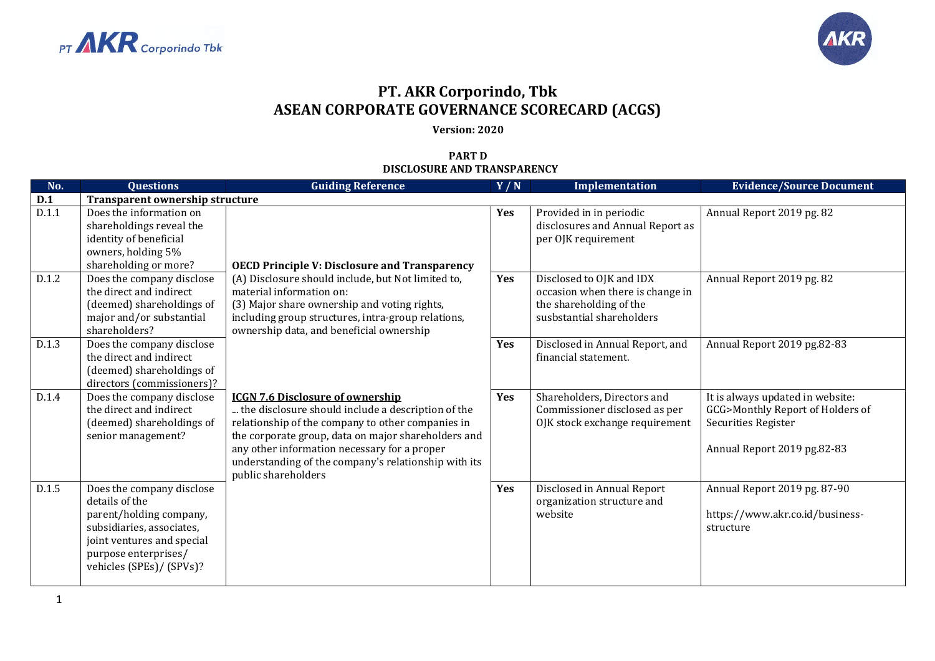



## **PT. AKR Corporindo, Tbk ASEAN CORPORATE GOVERNANCE SCORECARD (ACGS)**

## **Version: 2020**

## **PART D DISCLOSURE AND TRANSPARENCY**

| No.   | <b>Questions</b>                                                                                                                                                                      | <b>Guiding Reference</b>                                                                                                                                                                                                                                                                                                                 | Y/N        | Implementation                                                                                                       | <b>Evidence/Source Document</b>                                                                                            |
|-------|---------------------------------------------------------------------------------------------------------------------------------------------------------------------------------------|------------------------------------------------------------------------------------------------------------------------------------------------------------------------------------------------------------------------------------------------------------------------------------------------------------------------------------------|------------|----------------------------------------------------------------------------------------------------------------------|----------------------------------------------------------------------------------------------------------------------------|
| D.1   | Transparent ownership structure                                                                                                                                                       |                                                                                                                                                                                                                                                                                                                                          |            |                                                                                                                      |                                                                                                                            |
| D.1.1 | Does the information on<br>shareholdings reveal the<br>identity of beneficial<br>owners, holding 5%<br>shareholding or more?                                                          | <b>OECD Principle V: Disclosure and Transparency</b>                                                                                                                                                                                                                                                                                     | Yes        | Provided in in periodic<br>disclosures and Annual Report as<br>per OJK requirement                                   | Annual Report 2019 pg. 82                                                                                                  |
| D.1.2 | Does the company disclose<br>the direct and indirect<br>(deemed) shareholdings of<br>major and/or substantial<br>shareholders?                                                        | (A) Disclosure should include, but Not limited to,<br>material information on:<br>(3) Major share ownership and voting rights,<br>including group structures, intra-group relations,<br>ownership data, and beneficial ownership                                                                                                         | Yes        | Disclosed to OJK and IDX<br>occasion when there is change in<br>the shareholding of the<br>susbstantial shareholders | Annual Report 2019 pg. 82                                                                                                  |
| D.1.3 | Does the company disclose<br>the direct and indirect<br>(deemed) shareholdings of<br>directors (commissioners)?                                                                       |                                                                                                                                                                                                                                                                                                                                          | Yes        | Disclosed in Annual Report, and<br>financial statement.                                                              | Annual Report 2019 pg.82-83                                                                                                |
| D.1.4 | Does the company disclose<br>the direct and indirect<br>(deemed) shareholdings of<br>senior management?                                                                               | <b>ICGN 7.6 Disclosure of ownership</b><br>the disclosure should include a description of the<br>relationship of the company to other companies in<br>the corporate group, data on major shareholders and<br>any other information necessary for a proper<br>understanding of the company's relationship with its<br>public shareholders | <b>Yes</b> | Shareholders, Directors and<br>Commissioner disclosed as per<br>OJK stock exchange requirement                       | It is always updated in website:<br>GCG>Monthly Report of Holders of<br>Securities Register<br>Annual Report 2019 pg.82-83 |
| D.1.5 | Does the company disclose<br>details of the<br>parent/holding company,<br>subsidiaries, associates,<br>joint ventures and special<br>purpose enterprises/<br>vehicles (SPEs)/ (SPVs)? |                                                                                                                                                                                                                                                                                                                                          | Yes        | Disclosed in Annual Report<br>organization structure and<br>website                                                  | Annual Report 2019 pg. 87-90<br>https://www.akr.co.id/business-<br>structure                                               |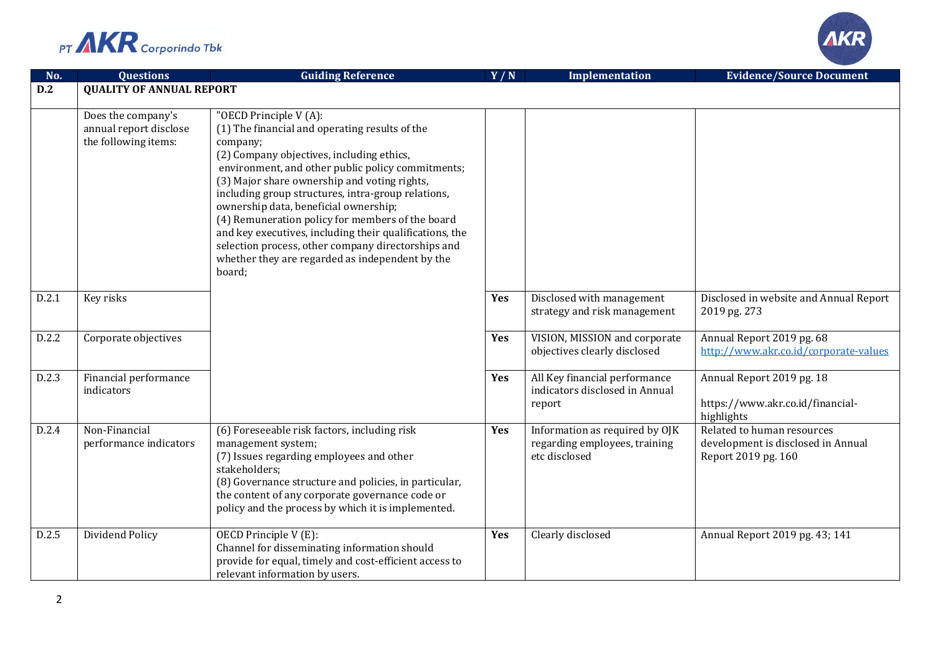



| No.   | <b>Questions</b>                                                     | <b>Guiding Reference</b>                                                                                                                                                                                                                                                                                                                                                                                                                                                                                                                                                | Y/N | Implementation                                                                   | <b>Evidence/Source Document</b>                                                         |
|-------|----------------------------------------------------------------------|-------------------------------------------------------------------------------------------------------------------------------------------------------------------------------------------------------------------------------------------------------------------------------------------------------------------------------------------------------------------------------------------------------------------------------------------------------------------------------------------------------------------------------------------------------------------------|-----|----------------------------------------------------------------------------------|-----------------------------------------------------------------------------------------|
| D.2   | <b>QUALITY OF ANNUAL REPORT</b>                                      |                                                                                                                                                                                                                                                                                                                                                                                                                                                                                                                                                                         |     |                                                                                  |                                                                                         |
|       | Does the company's<br>annual report disclose<br>the following items: | "OECD Principle V (A):<br>(1) The financial and operating results of the<br>company;<br>(2) Company objectives, including ethics,<br>environment, and other public policy commitments;<br>(3) Major share ownership and voting rights,<br>including group structures, intra-group relations,<br>ownership data, beneficial ownership;<br>(4) Remuneration policy for members of the board<br>and key executives, including their qualifications, the<br>selection process, other company directorships and<br>whether they are regarded as independent by the<br>board; |     |                                                                                  |                                                                                         |
| D.2.1 | Key risks                                                            |                                                                                                                                                                                                                                                                                                                                                                                                                                                                                                                                                                         | Yes | Disclosed with management<br>strategy and risk management                        | Disclosed in website and Annual Report<br>2019 pg. 273                                  |
| D.2.2 | Corporate objectives                                                 |                                                                                                                                                                                                                                                                                                                                                                                                                                                                                                                                                                         | Yes | VISION, MISSION and corporate<br>objectives clearly disclosed                    | Annual Report 2019 pg. 68<br>http://www.akr.co.id/corporate-values                      |
| D.2.3 | Financial performance<br>indicators                                  |                                                                                                                                                                                                                                                                                                                                                                                                                                                                                                                                                                         | Yes | All Key financial performance<br>indicators disclosed in Annual<br>report        | Annual Report 2019 pg. 18<br>https://www.akr.co.id/financial-<br>highlights             |
| D.2.4 | Non-Financial<br>performance indicators                              | (6) Foreseeable risk factors, including risk<br>management system;<br>(7) Issues regarding employees and other<br>stakeholders;<br>(8) Governance structure and policies, in particular,<br>the content of any corporate governance code or<br>policy and the process by which it is implemented.                                                                                                                                                                                                                                                                       | Yes | Information as required by OJK<br>regarding employees, training<br>etc disclosed | Related to human resources<br>development is disclosed in Annual<br>Report 2019 pg. 160 |
| D.2.5 | Dividend Policy                                                      | OECD Principle V (E):<br>Channel for disseminating information should<br>provide for equal, timely and cost-efficient access to<br>relevant information by users.                                                                                                                                                                                                                                                                                                                                                                                                       | Yes | Clearly disclosed                                                                | Annual Report 2019 pg. 43; 141                                                          |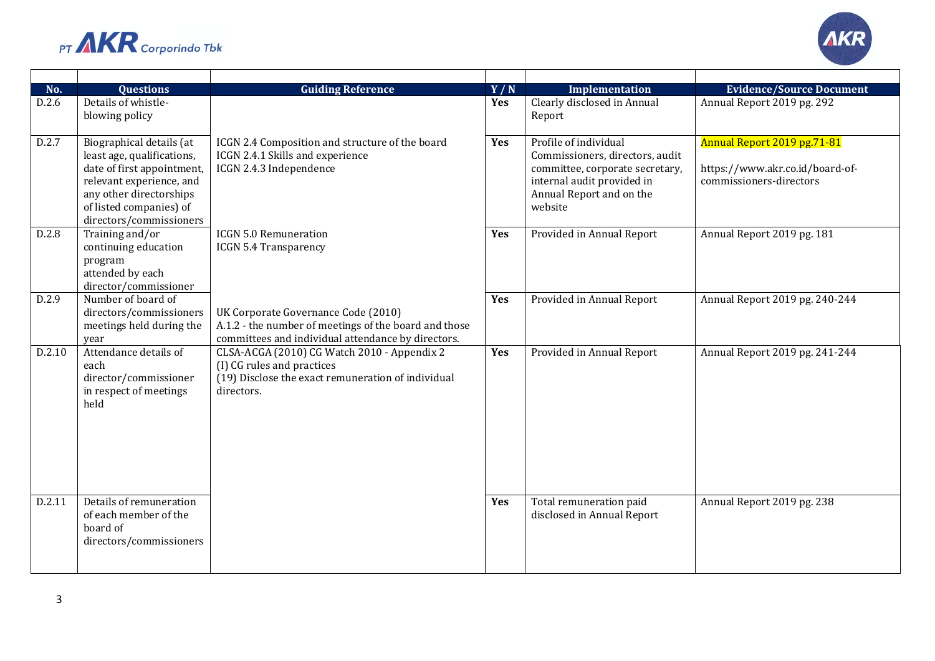



| No.    | <b>Questions</b>                                                                                                                                                                                  | <b>Guiding Reference</b>                                                                                                                           | Y/N        | Implementation                                                                                                                                                   | <b>Evidence/Source Document</b>                                                           |
|--------|---------------------------------------------------------------------------------------------------------------------------------------------------------------------------------------------------|----------------------------------------------------------------------------------------------------------------------------------------------------|------------|------------------------------------------------------------------------------------------------------------------------------------------------------------------|-------------------------------------------------------------------------------------------|
| D.2.6  | Details of whistle-<br>blowing policy                                                                                                                                                             |                                                                                                                                                    | Yes        | Clearly disclosed in Annual<br>Report                                                                                                                            | Annual Report 2019 pg. 292                                                                |
| D.2.7  | Biographical details (at<br>least age, qualifications,<br>date of first appointment,<br>relevant experience, and<br>any other directorships<br>of listed companies) of<br>directors/commissioners | ICGN 2.4 Composition and structure of the board<br>ICGN 2.4.1 Skills and experience<br>ICGN 2.4.3 Independence                                     | Yes        | Profile of individual<br>Commissioners, directors, audit<br>committee, corporate secretary,<br>internal audit provided in<br>Annual Report and on the<br>website | Annual Report 2019 pg.71-81<br>https://www.akr.co.id/board-of-<br>commissioners-directors |
| D.2.8  | Training and/or<br>continuing education<br>program<br>attended by each<br>director/commissioner                                                                                                   | <b>ICGN 5.0 Remuneration</b><br><b>ICGN 5.4 Transparency</b>                                                                                       | <b>Yes</b> | Provided in Annual Report                                                                                                                                        | Annual Report 2019 pg. 181                                                                |
| D.2.9  | Number of board of<br>directors/commissioners<br>meetings held during the<br>vear                                                                                                                 | UK Corporate Governance Code (2010)<br>A.1.2 - the number of meetings of the board and those<br>committees and individual attendance by directors. | Yes        | Provided in Annual Report                                                                                                                                        | Annual Report 2019 pg. 240-244                                                            |
| D.2.10 | Attendance details of<br>each<br>director/commissioner<br>in respect of meetings<br>held                                                                                                          | CLSA-ACGA (2010) CG Watch 2010 - Appendix 2<br>(I) CG rules and practices<br>(19) Disclose the exact remuneration of individual<br>directors.      | Yes        | Provided in Annual Report                                                                                                                                        | Annual Report 2019 pg. 241-244                                                            |
| D.2.11 | Details of remuneration<br>of each member of the<br>board of<br>directors/commissioners                                                                                                           |                                                                                                                                                    | Yes        | Total remuneration paid<br>disclosed in Annual Report                                                                                                            | Annual Report 2019 pg. 238                                                                |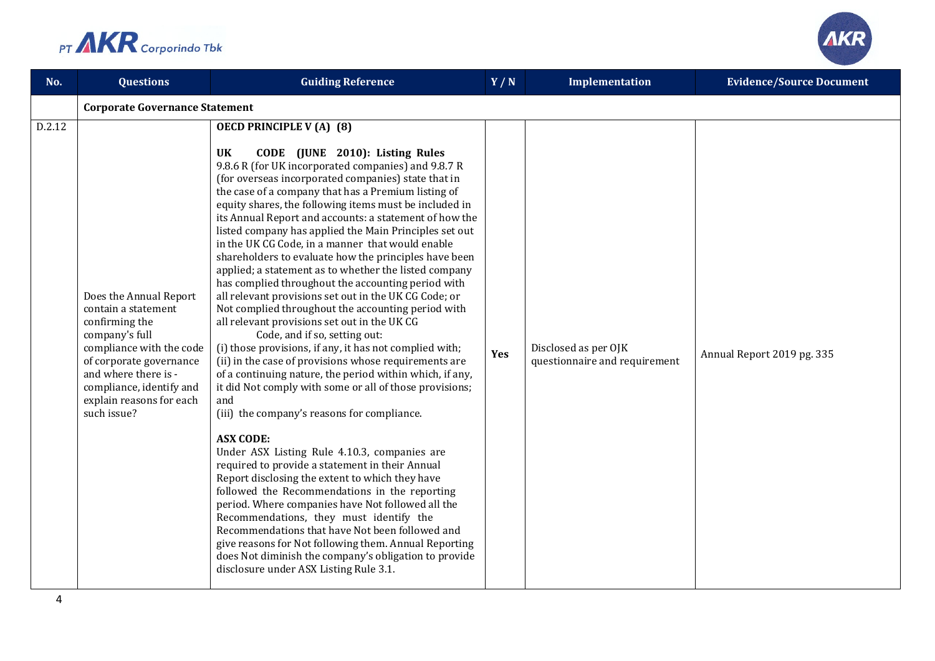

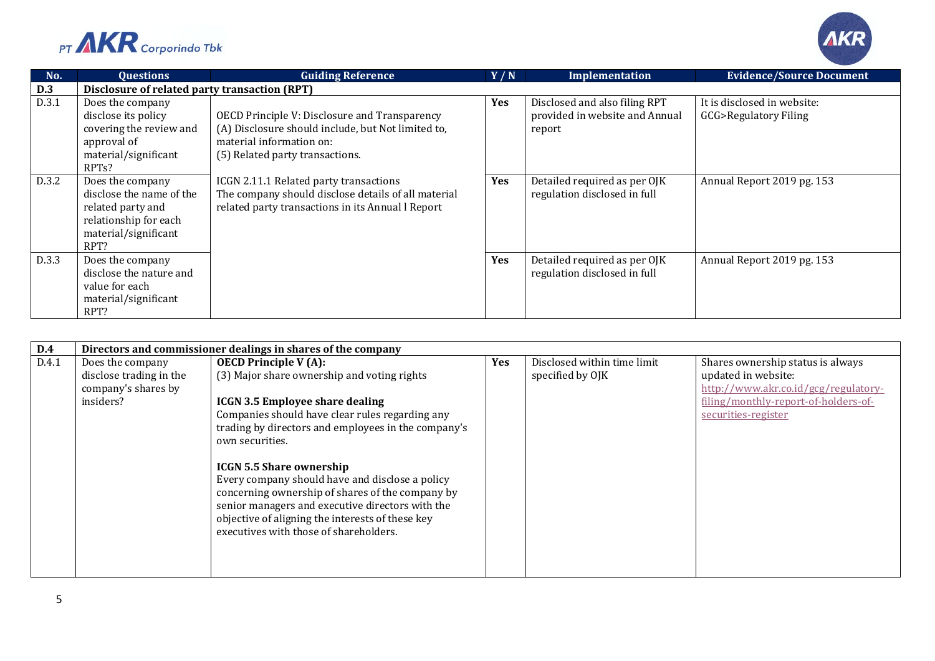



| No.   | <b>Questions</b>                                                                                                                | <b>Guiding Reference</b>                                                                                                                                           | Y/N        | Implementation                                                            | <b>Evidence/Source Document</b>                                |
|-------|---------------------------------------------------------------------------------------------------------------------------------|--------------------------------------------------------------------------------------------------------------------------------------------------------------------|------------|---------------------------------------------------------------------------|----------------------------------------------------------------|
| D.3   | Disclosure of related party transaction (RPT)                                                                                   |                                                                                                                                                                    |            |                                                                           |                                                                |
| D.3.1 | Does the company<br>disclose its policy<br>covering the review and<br>approval of<br>material/significant<br>RPT <sub>s</sub> ? | OECD Principle V: Disclosure and Transparency<br>(A) Disclosure should include, but Not limited to,<br>material information on:<br>(5) Related party transactions. | <b>Yes</b> | Disclosed and also filing RPT<br>provided in website and Annual<br>report | It is disclosed in website:<br><b>GCG&gt;Regulatory Filing</b> |
| D.3.2 | Does the company<br>disclose the name of the<br>related party and<br>relationship for each<br>material/significant<br>RPT?      | ICGN 2.11.1 Related party transactions<br>The company should disclose details of all material<br>related party transactions in its Annual l Report                 | <b>Yes</b> | Detailed required as per OJK<br>regulation disclosed in full              | Annual Report 2019 pg. 153                                     |
| D.3.3 | Does the company<br>disclose the nature and<br>value for each<br>material/significant<br>RPT?                                   |                                                                                                                                                                    | Yes        | Detailed required as per OJK<br>regulation disclosed in full              | Annual Report 2019 pg. 153                                     |

| <b>D.4</b> | Directors and commissioner dealings in shares of the company                    |                                                                                                                                                                                                                                                                                                                                                                                                                                                                                                                                                |            |                                                 |                                                                                                                                                                 |  |  |  |
|------------|---------------------------------------------------------------------------------|------------------------------------------------------------------------------------------------------------------------------------------------------------------------------------------------------------------------------------------------------------------------------------------------------------------------------------------------------------------------------------------------------------------------------------------------------------------------------------------------------------------------------------------------|------------|-------------------------------------------------|-----------------------------------------------------------------------------------------------------------------------------------------------------------------|--|--|--|
| D.4.1      | Does the company<br>disclose trading in the<br>company's shares by<br>insiders? | <b>OECD Principle V (A):</b><br>(3) Major share ownership and voting rights<br><b>ICGN 3.5 Employee share dealing</b><br>Companies should have clear rules regarding any<br>trading by directors and employees in the company's<br>own securities.<br><b>ICGN 5.5 Share ownership</b><br>Every company should have and disclose a policy<br>concerning ownership of shares of the company by<br>senior managers and executive directors with the<br>objective of aligning the interests of these key<br>executives with those of shareholders. | <b>Yes</b> | Disclosed within time limit<br>specified by OJK | Shares ownership status is always<br>updated in website:<br>http://www.akr.co.id/gcg/regulatory-<br>filing/monthly-report-of-holders-of-<br>securities-register |  |  |  |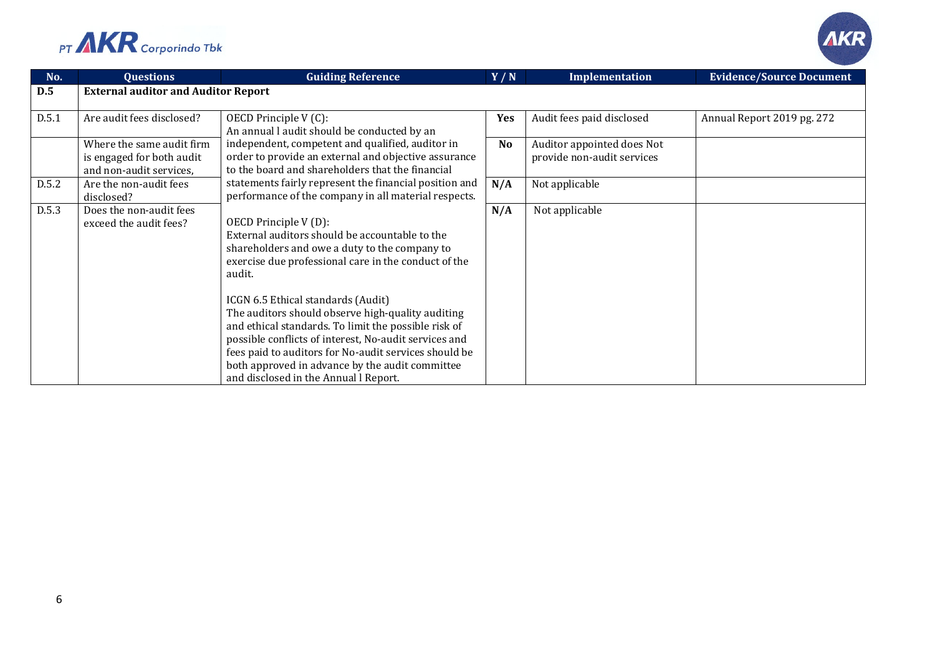



| No.   | <b>Questions</b>                                                                  | <b>Guiding Reference</b>                                                                                                                                                                                                                                                                                                                                                                                                                                                                                                                                   | Y/N       | Implementation                                           | <b>Evidence/Source Document</b> |
|-------|-----------------------------------------------------------------------------------|------------------------------------------------------------------------------------------------------------------------------------------------------------------------------------------------------------------------------------------------------------------------------------------------------------------------------------------------------------------------------------------------------------------------------------------------------------------------------------------------------------------------------------------------------------|-----------|----------------------------------------------------------|---------------------------------|
| D.5   | <b>External auditor and Auditor Report</b>                                        |                                                                                                                                                                                                                                                                                                                                                                                                                                                                                                                                                            |           |                                                          |                                 |
| D.5.1 | Are audit fees disclosed?                                                         | OECD Principle V (C):<br>An annual l audit should be conducted by an                                                                                                                                                                                                                                                                                                                                                                                                                                                                                       | Yes       | Audit fees paid disclosed                                | Annual Report 2019 pg. 272      |
|       | Where the same audit firm<br>is engaged for both audit<br>and non-audit services, | independent, competent and qualified, auditor in<br>order to provide an external and objective assurance<br>to the board and shareholders that the financial                                                                                                                                                                                                                                                                                                                                                                                               | <b>No</b> | Auditor appointed does Not<br>provide non-audit services |                                 |
| D.5.2 | Are the non-audit fees<br>disclosed?                                              | statements fairly represent the financial position and<br>performance of the company in all material respects.                                                                                                                                                                                                                                                                                                                                                                                                                                             | N/A       | Not applicable                                           |                                 |
| D.5.3 | Does the non-audit fees<br>exceed the audit fees?                                 | OECD Principle V(D):<br>External auditors should be accountable to the<br>shareholders and owe a duty to the company to<br>exercise due professional care in the conduct of the<br>audit.<br>ICGN 6.5 Ethical standards (Audit)<br>The auditors should observe high-quality auditing<br>and ethical standards. To limit the possible risk of<br>possible conflicts of interest, No-audit services and<br>fees paid to auditors for No-audit services should be<br>both approved in advance by the audit committee<br>and disclosed in the Annual l Report. | N/A       | Not applicable                                           |                                 |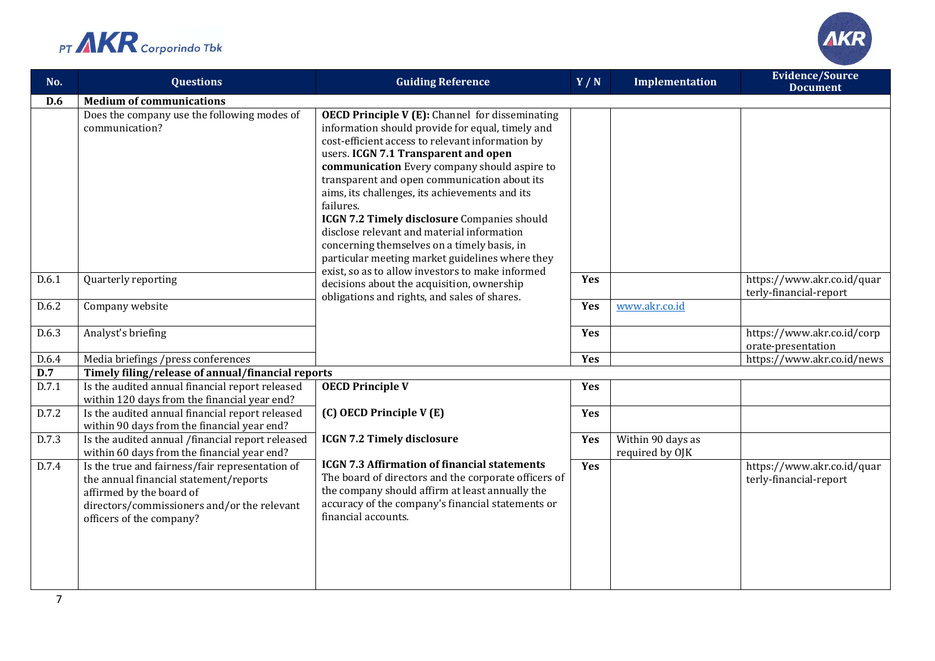



| No.   | <b>Questions</b>                                                                                                                                                                                 | <b>Guiding Reference</b>                                                                                                                                                                                                                                                                                                                                                                                                                                                                                                                                             | Y/N | <b>Implementation</b>                | <b>Evidence/Source</b><br><b>Document</b>            |
|-------|--------------------------------------------------------------------------------------------------------------------------------------------------------------------------------------------------|----------------------------------------------------------------------------------------------------------------------------------------------------------------------------------------------------------------------------------------------------------------------------------------------------------------------------------------------------------------------------------------------------------------------------------------------------------------------------------------------------------------------------------------------------------------------|-----|--------------------------------------|------------------------------------------------------|
| D.6   | <b>Medium of communications</b>                                                                                                                                                                  |                                                                                                                                                                                                                                                                                                                                                                                                                                                                                                                                                                      |     |                                      |                                                      |
|       | Does the company use the following modes of<br>communication?                                                                                                                                    | <b>OECD Principle V (E):</b> Channel for disseminating<br>information should provide for equal, timely and<br>cost-efficient access to relevant information by<br>users. ICGN 7.1 Transparent and open<br>communication Every company should aspire to<br>transparent and open communication about its<br>aims, its challenges, its achievements and its<br>failures.<br>ICGN 7.2 Timely disclosure Companies should<br>disclose relevant and material information<br>concerning themselves on a timely basis, in<br>particular meeting market guidelines where they |     |                                      |                                                      |
| D.6.1 | Quarterly reporting                                                                                                                                                                              | exist, so as to allow investors to make informed<br>decisions about the acquisition, ownership<br>obligations and rights, and sales of shares.                                                                                                                                                                                                                                                                                                                                                                                                                       | Yes |                                      | https://www.akr.co.id/quar<br>terly-financial-report |
| D.6.2 | Company website                                                                                                                                                                                  |                                                                                                                                                                                                                                                                                                                                                                                                                                                                                                                                                                      | Yes | www.akr.co.id                        |                                                      |
| D.6.3 | Analyst's briefing                                                                                                                                                                               |                                                                                                                                                                                                                                                                                                                                                                                                                                                                                                                                                                      | Yes |                                      | https://www.akr.co.id/corp<br>orate-presentation     |
| D.6.4 | Media briefings /press conferences                                                                                                                                                               |                                                                                                                                                                                                                                                                                                                                                                                                                                                                                                                                                                      | Yes |                                      | https://www.akr.co.id/news                           |
| D.7   | Timely filing/release of annual/financial reports                                                                                                                                                |                                                                                                                                                                                                                                                                                                                                                                                                                                                                                                                                                                      |     |                                      |                                                      |
| D.7.1 | Is the audited annual financial report released<br>within 120 days from the financial year end?                                                                                                  | <b>OECD Principle V</b>                                                                                                                                                                                                                                                                                                                                                                                                                                                                                                                                              | Yes |                                      |                                                      |
| D.7.2 | Is the audited annual financial report released<br>within 90 days from the financial year end?                                                                                                   | (C) OECD Principle V (E)                                                                                                                                                                                                                                                                                                                                                                                                                                                                                                                                             | Yes |                                      |                                                      |
| D.7.3 | Is the audited annual /financial report released<br>within 60 days from the financial year end?                                                                                                  | <b>ICGN 7.2 Timely disclosure</b>                                                                                                                                                                                                                                                                                                                                                                                                                                                                                                                                    | Yes | Within 90 days as<br>required by OJK |                                                      |
| D.7.4 | Is the true and fairness/fair representation of<br>the annual financial statement/reports<br>affirmed by the board of<br>directors/commissioners and/or the relevant<br>officers of the company? | <b>ICGN 7.3 Affirmation of financial statements</b><br>The board of directors and the corporate officers of<br>the company should affirm at least annually the<br>accuracy of the company's financial statements or<br>financial accounts.                                                                                                                                                                                                                                                                                                                           | Yes |                                      | https://www.akr.co.id/quar<br>terly-financial-report |